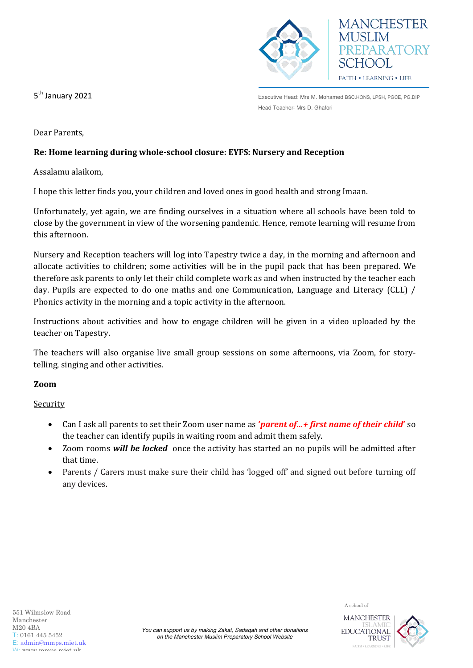

Executive Head: Mrs M. Mohamed BSC.HONS, LPSH, PGCE, PG.DIP Head Teacher: Mrs D. Ghafori

5<sup>th</sup> January 2021

Dear Parents,

# **Re: Home learning during whole-school closure: EYFS: Nursery and Reception**

Assalamu alaikom,

I hope this letter finds you, your children and loved ones in good health and strong Imaan.

Unfortunately, yet again, we are finding ourselves in a situation where all schools have been told to close by the government in view of the worsening pandemic. Hence, remote learning will resume from this afternoon.

Nursery and Reception teachers will log into Tapestry twice a day, in the morning and afternoon and allocate activities to children; some activities will be in the pupil pack that has been prepared. We therefore ask parents to only let their child complete work as and when instructed by the teacher each day. Pupils are expected to do one maths and one Communication, Language and Literacy (CLL) / Phonics activity in the morning and a topic activity in the afternoon.

Instructions about activities and how to engage children will be given in a video uploaded by the teacher on Tapestry.

The teachers will also organise live small group sessions on some afternoons, via Zoom, for storytelling, singing and other activities.

## **Zoom**

Security

- Can I ask all parents to set their Zoom user name as **'***parent of…+ first name of their child***'** so the teacher can identify pupils in waiting room and admit them safely.
- Zoom rooms *will be locked* once the activity has started an no pupils will be admitted after that time.
- Parents / Carers must make sure their child has 'logged off' and signed out before turning off any devices.

A school of